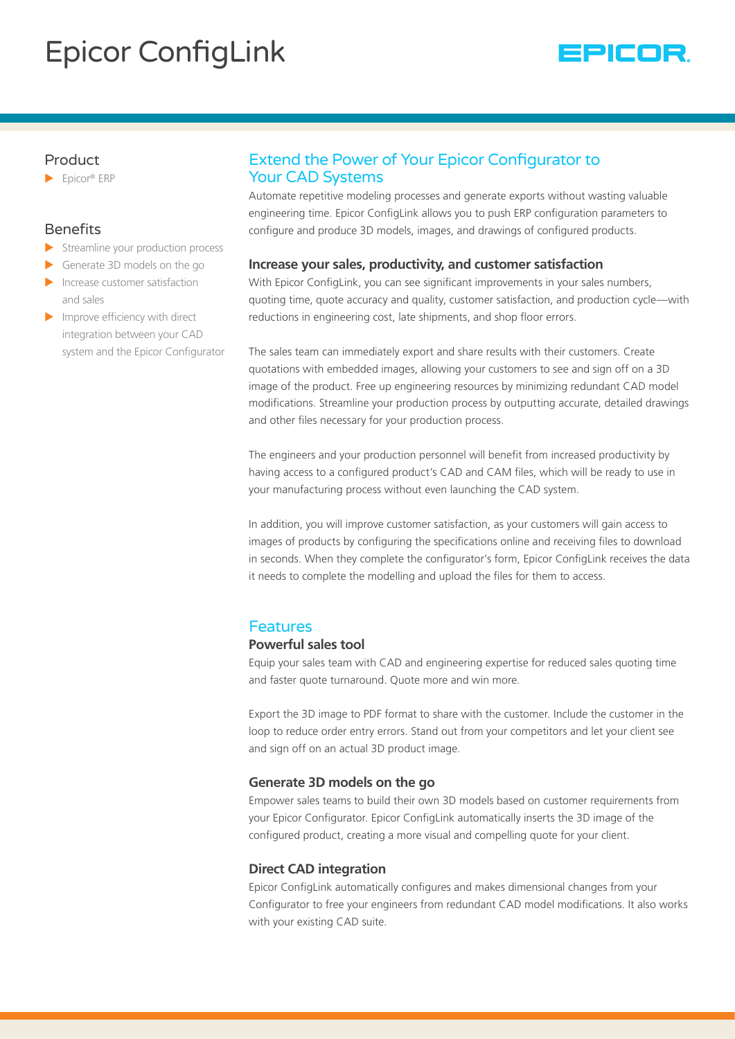# Epicor ConfigLink



### Product

 $\blacktriangleright$  Epicor® ERP

### **Benefits**

- $\blacktriangleright$  Streamline your production process
- Generate 3D models on the go
- Increase customer satisfaction and sales
- $\blacktriangleright$  Improve efficiency with direct integration between your CAD system and the Epicor Configurator

# Extend the Power of Your Epicor Configurator to Your CAD Systems

Automate repetitive modeling processes and generate exports without wasting valuable engineering time. Epicor ConfigLink allows you to push ERP configuration parameters to configure and produce 3D models, images, and drawings of configured products.

### **Increase your sales, productivity, and customer satisfaction**

With Epicor ConfigLink, you can see significant improvements in your sales numbers, quoting time, quote accuracy and quality, customer satisfaction, and production cycle—with reductions in engineering cost, late shipments, and shop floor errors.

The sales team can immediately export and share results with their customers. Create quotations with embedded images, allowing your customers to see and sign off on a 3D image of the product. Free up engineering resources by minimizing redundant CAD model modifications. Streamline your production process by outputting accurate, detailed drawings and other files necessary for your production process.

The engineers and your production personnel will benefit from increased productivity by having access to a configured product's CAD and CAM files, which will be ready to use in your manufacturing process without even launching the CAD system.

In addition, you will improve customer satisfaction, as your customers will gain access to images of products by configuring the specifications online and receiving files to download in seconds. When they complete the configurator's form, Epicor ConfigLink receives the data it needs to complete the modelling and upload the files for them to access.

# Features

### **Powerful sales tool**

Equip your sales team with CAD and engineering expertise for reduced sales quoting time and faster quote turnaround. Quote more and win more.

Export the 3D image to PDF format to share with the customer. Include the customer in the loop to reduce order entry errors. Stand out from your competitors and let your client see and sign off on an actual 3D product image.

### **Generate 3D models on the go**

Empower sales teams to build their own 3D models based on customer requirements from your Epicor Configurator. Epicor ConfigLink automatically inserts the 3D image of the configured product, creating a more visual and compelling quote for your client.

### **Direct CAD integration**

Epicor ConfigLink automatically configures and makes dimensional changes from your Configurator to free your engineers from redundant CAD model modifications. It also works with your existing CAD suite.